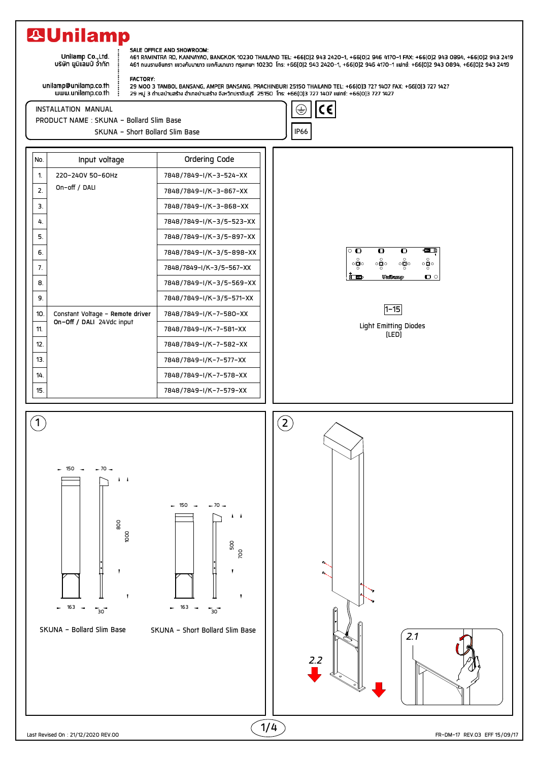## **29Unilamp**

.<br>.Unilamp Co.,Ltd<br>บริษัท ยูนิแลมป์ จำกัด

## unilamp@unilamp.co.th

## SALE OFFICE AND SHOWROOM:

-ACL OF THE AND SHOW OF THE MAGNOR 10230 THAILAND TEL: +66(0)2 943 2420–1, +66(0)2 946 4170–1 FAX: +66(0)2 943 0894, +66(0)2 943 2419<br>461 RAMINTRA RD, KANNAYAO, BANGKOK 10230 THAILAND TEL: +66(0)2 943 2420–1, +66(0)2 946

www.unilamp.co.th

**FACTORY:** 29 MOO 3 TAMBOL BANSANG, AMPER BANSANG, PRACHINBURI 25150 THAILAND TEL: +66[0]3 727 1407 FAX: +66[0]3 727 1427 29 หมู่ 3 ถ้าบลบ้านสร้าง อำเภอบ้านสร้าง จังหวักปราจีนบุรี 25150 โทร: +66(0)3 727 1407 แฟทซ์: +66(0)3 727 1427

INSTALLATION MANUAL



PRODUCT NAME : SKUNA - Bollard Slim Base SKUNA - Short Bollard Slim Base Internal School and The IP66

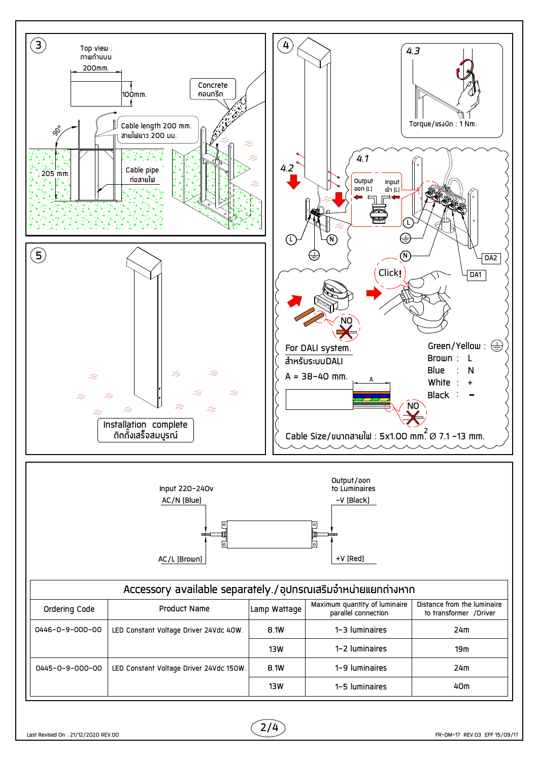

 $2/4$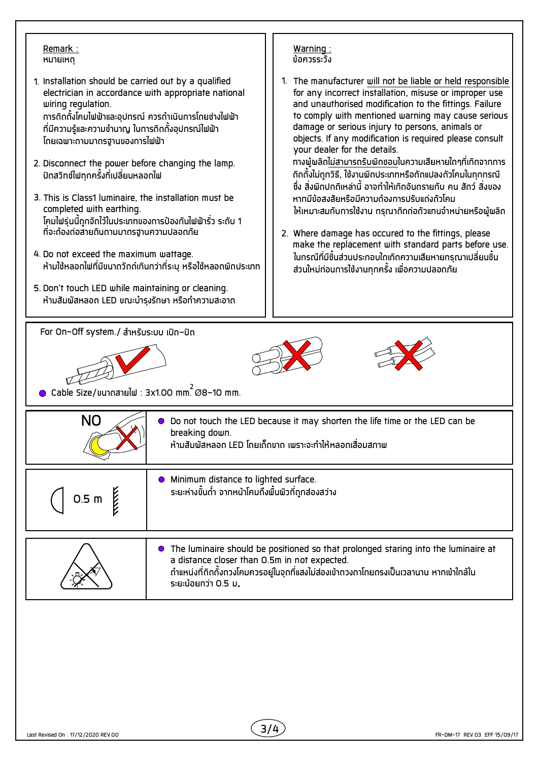